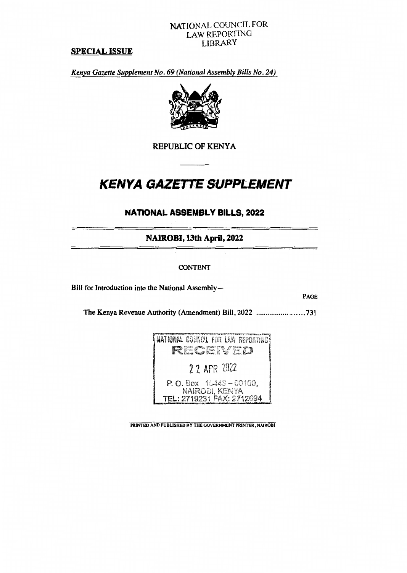# NATIONAL COUNCIL FOR LAW REPORTING LIBRARY

# **SPECIAL ISSUE**

*Kenya Gazette Supplement No. 69 (National Assembly Bills No. 24)* 



**REPUBLIC OF KENYA** 

# *KENYA GAZETTE SUPPLEMENT*

# **NATIONAL ASSEMBLY BILLS, 2022**

**NAIROBI,13th April, 2022** 

## **CONTENT**

**Bill for Introduction into the National Assembly—** 

**PAGE** 

**The Kenya Revenue Authority (Amendment) Bill, 2022 731** 

| <b>NATIONAL COUNCIL FOR LAW REPORTING!</b>                                                                            |
|-----------------------------------------------------------------------------------------------------------------------|
| <b>From the Contract of Contract of the Contract of the Contract of Contract of Contract of the Contract of the S</b> |
| 2 2 APR 2022                                                                                                          |
|                                                                                                                       |
| P.O. Box 10443-00100,<br>NAIROEI, KENYA                                                                               |
| TEL: 2719231 FAX: 2712694                                                                                             |

**PRINTED AND PUBLISHED BY THE GOVERNMENT PRINTER, NAIROBI**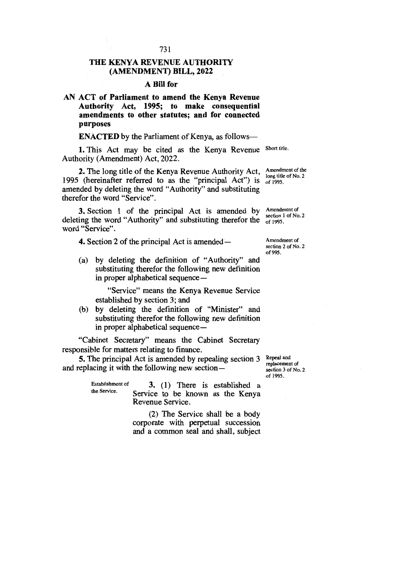# **THE KENYA REVENUE AUTHORITY (AMENDMENT) BILL, 2022**

## **A Bill for**

**AN ACT of Parliament to amend the Kenya Revenue Authority Act, 1995; to make consequential amendments to other statutes; and for connected purposes** 

**ENACTED** by the Parliament of Kenya, as follows-

1. This Act may be cited as the Kenya Revenue Short title. Authority (Amendment) Act, 2022.

**2.** The long title of the Kenya Revenue Authority Act, 1995 (hereinafter referred to as the "principal Act") is amended by deleting the word "Authority" and substituting therefor the word "Service".

**3.** Section 1 of the principal Act is amended by deleting the word "Authority" and substituting therefor the  $\frac{3266611}{61995}$ . word "Service".

**4.** Section 2 of the principal Act is amended —

(a) by deleting the definition of "Authority" and substituting therefor the following new definition in proper alphabetical sequence —

"Service" means the Kenya Revenue Service established by section 3; and

(b) by deleting the definition of "Minister" and substituting therefor the following new definition in proper alphabetical sequence —

"Cabinet Secretary" means the Cabinet Secretary responsible for matters relating to finance.

**5.** The principal Act is amended by repealing section 3 and replacing it with the following new section—

Establishment of **3.** (1) There is established a the Service. Service to be known as the Kenya Revenue Service.

> (2) The Service shall be a body corporate with perpetual succession and a common seal and shall, subject

Repeal and replacement of section 3 of No. 2 of 1995.

Amendment of the long title of No. 2 of 1995.

Amendment of section 1 of No. 2

Amendment of section 2 of No. 2 of 995.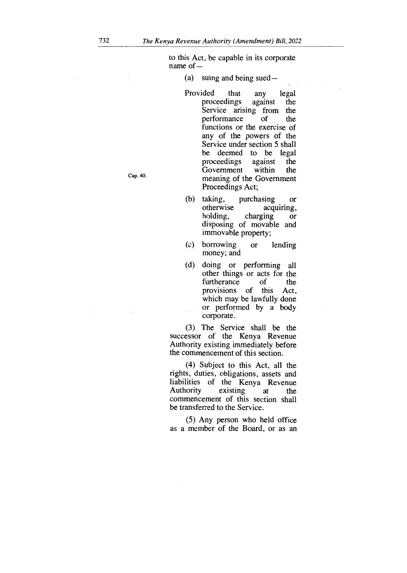to this Act, be capable in its corporate name of —

(a) suing and being sued—

- Provided that any legal proceedings against the Service arising from the performance of the functions or the exercise of any of the powers of the Service under section 5 shall be deemed to be legal proceedings against the Government within the meaning of the Government Proceedings Act;
- (b) taking, purchasing or otherwise acquiring, holding, charging or disposing of movable and immovable property;
- (c) borrowing or lending money; and
- (d) doing or performing all other things or acts for the furtherance of the provisions of this Act, which may be lawfully done or performed by a body corporate.

(3) The Service shall be the successor of the Kenya Revenue Authority existing immediately before the commencement of this section.

(4) Subject to this Act, all the rights, duties, obligations, assets and liabilities of the Kenya Revenue Authority existing at the commencement of this section shall be transferred to the Service.

(5) Any person who held office as a member of the Board, or as an

Cap. 40.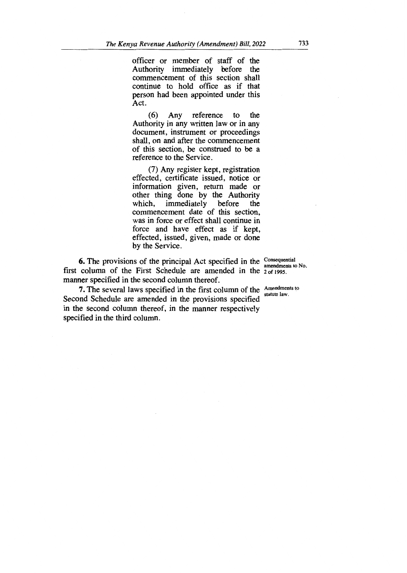officer or member of staff of the Authority immediately before the commencement of this section shall continue to hold office as if that person had been appointed under this Act.

(6) Any reference to the Authority in any written law or in any document, instrument or proceedings shall, on and after the commencement of this section, be construed to be a reference to the Service.

(7) Any register kept, registration effected, certificate issued, notice or information given, return made or other thing done by the Authority which, immediately before the commencement date of this section, was in force or effect shall continue in force and have effect as if kept, effected, issued, given, made or done by the Service.

**6.** The provisions of the principal Act specified in the Consequential first column of the First Schedule are amended in the 2 of 1995. manner specified in the second column thereof.

**7.** The several laws specified in the first column of the  $\frac{\text{Amendments to}}{\text{attnite law}}$ Second Schedule are amended in the provisions specified in the second column thereof, in the manner respectively specified in the third column.

amendments to No.

statute law.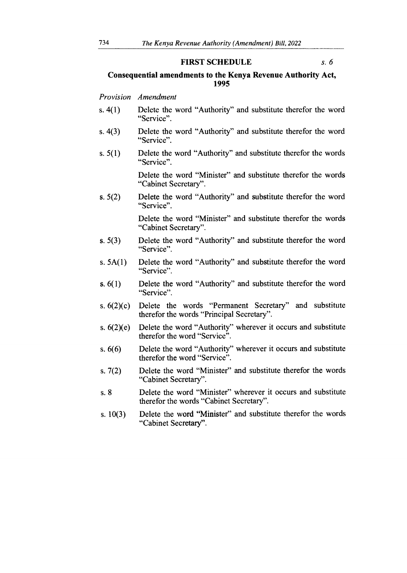#### **FIRST SCHEDULE** *s. 6*

## **Consequential amendments to the Kenya Revenue Authority Act, 1995**

#### *Provision Amendment*

- s. 4(1) Delete the word "Authority" and substitute therefor the word "Service".
- s. 4(3) Delete the word "Authority" and substitute therefor the word "Service".
- s. 5(1) Delete the word "Authority" and substitute therefor the words "Service".

Delete the word "Minister" and substitute therefor the words "Cabinet Secretary".

s. 5(2) Delete the word "Authority" and substitute therefor the word "Service".

> Delete the word "Minister" and substitute therefor the words "Cabinet Secretary".

- s. 5(3) Delete the word "Authority" and substitute therefor the word "Service".
- s. 5A(1) Delete the word "Authority" and substitute therefor the word "Service".
- s. 6(1) Delete the word "Authority" and substitute therefor the word "Service".
- s. 6(2)(c) Delete the words "Permanent Secretary" and substitute therefor the words "Principal Secretary".
- s. 6(2)(e) Delete the word "Authority" wherever it occurs and substitute therefor the word "Service".
- s. 6(6) Delete the word "Authority" wherever it occurs and substitute therefor the word "Service".
- s. 7(2) Delete the word "Minister" and substitute therefor the words "Cabinet Secretary".
- s. 8 Delete the word "Minister" wherever it occurs and substitute therefor the words "Cabinet Secretary".
- s. 10(3) Delete the word "Minister" and substitute therefor the words "Cabinet Secretary".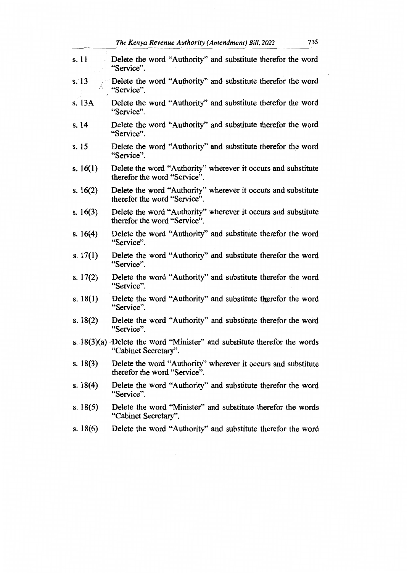| s.11       | Delete the word "Authority" and substitute therefor the word<br>"Service".                       |
|------------|--------------------------------------------------------------------------------------------------|
| s.13       | Delete the word "Authority" and substitute therefor the word<br>"Service".                       |
| s. 13A     | Delete the word "Authority" and substitute therefor the word<br>"Service".                       |
| s. 14      | Delete the word "Authority" and substitute therefor the word<br>"Service".                       |
| s. 15      | Delete the word "Authority" and substitute therefor the word<br>"Service".                       |
| s. $16(1)$ | Delete the word "Authority" wherever it occurs and substitute<br>therefor the word "Service".    |
| s. $16(2)$ | Delete the word "Authority" wherever it occurs and substitute<br>therefor the word "Service".    |
| s. $16(3)$ | Delete the word "Authority" wherever it occurs and substitute<br>therefor the word "Service".    |
| s. $16(4)$ | Delete the word "Authority" and substitute therefor the word<br>"Service".                       |
| s. $17(1)$ | Delete the word "Authority" and substitute therefor the word<br>"Service".                       |
| s. $17(2)$ | Delete the word "Authority" and substitute therefor the word<br>"Service".                       |
| s. $18(1)$ | Delete the word "Authority" and substitute therefor the word<br>"Service".                       |
| s. $18(2)$ | Delete the word "Authority" and substitute therefor the word<br>"Service".                       |
|            | s. 18(3)(a) Delete the word "Minister" and substitute therefor the words<br>"Cabinet Secretary". |
| s. $18(3)$ | Delete the word "Authority" wherever it occurs and substitute<br>therefor the word "Service".    |
| s. $18(4)$ | Delete the word "Authority" and substitute therefor the word<br>"Service".                       |
| s. $18(5)$ | Delete the word "Minister" and substitute therefor the words<br>"Cabinet Secretary".             |
| s. $18(6)$ | Delete the word "Authority" and substitute therefor the word                                     |

 $\bar{z}$ 

 $\overline{\phantom{a}}$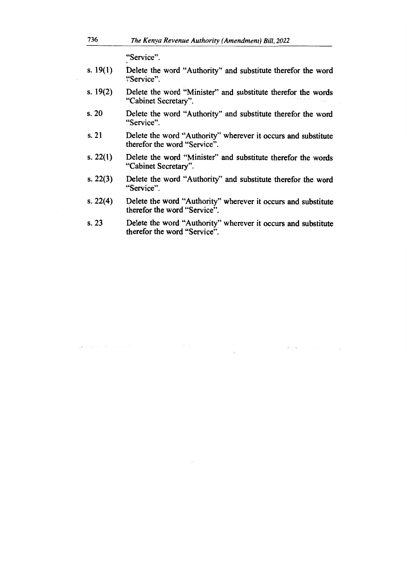"Service".

- s. 19(1) Delete the word "Authority" and substitute therefor the word ?Service".
- s. 19(2) Delete the word "Minister" and substitute therefor the words "Cabinet Secretary".
- s. 20 Delete the word "Authority" and substitute therefor the word "Service".
- s. 21 Delete the word "Authority" wherever it occurs and substitute therefor the word "Service".
- s. 22(1) Delete the word "Minister" and substitute therefor the words "Cabinet Secretary".
- s. 22(3) Delete the word "Authority" and substitute therefor the word "Service".
- s. 22(4) Delete the word "Authority" wherever it occurs and substitute therefor the word "Service".
- s. 23 Delete the word "Authority" wherever it occurs and substitute therefor the word "Service".

 $\hat{\mu}_1,\dots,\hat{\mu}_p$  .

particular and service in the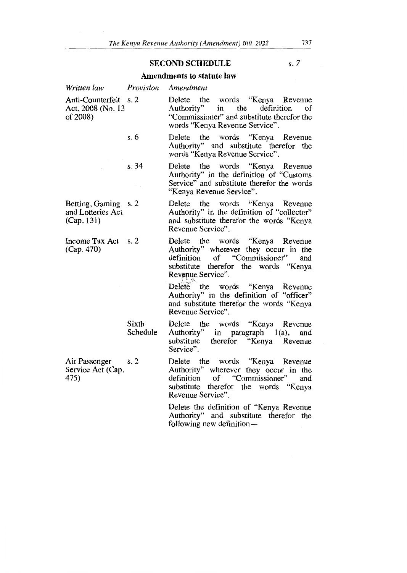# **SECOND SCHEDULE** *s. 7*

## **Amendments to statute law**

| Written law                                             | Provision         | Amendment                                                                                                                                                                        |
|---------------------------------------------------------|-------------------|----------------------------------------------------------------------------------------------------------------------------------------------------------------------------------|
| Anti-Counterfeit s. 2<br>Act, 2008 (No. 13<br>of 2008)  |                   | Delete the words "Kenya Revenue<br>Authority"<br>the<br>definition<br>in<br>οf<br>"Commissioner" and substitute therefor the<br>words "Kenya Revenue Service".                   |
|                                                         | s. 6              | Delete the words "Kenya Revenue<br>Authority" and substitute therefor the<br>words "Kenya Revenue Service".                                                                      |
|                                                         | s. 34             | Delete the words "Kenya Revenue<br>Authority" in the definition of "Customs<br>Service" and substitute therefor the words<br>"Kenya Revenue Service".                            |
| Betting, Gaming s. 2<br>and Lotteries Act<br>(Cap. 131) |                   | Delete the words "Kenya Revenue<br>Authority" in the definition of "collector"<br>and substitute therefor the words "Kenya<br>Revenue Service".                                  |
| Income Tax Act s. 2<br>(Cap. 470)                       |                   | Delete the words "Kenya Revenue<br>Authority" wherever they occur in the<br>of "Commissioner"<br>definition<br>and<br>substitute therefor the words "Kenya<br>Revenue Service".  |
|                                                         |                   | Delete the words "Kenya Revenue<br>Authority" in the definition of "officer"<br>and substitute therefor the words "Kenya<br>Revenue Service".                                    |
|                                                         | Sixth<br>Schedule | Delete the words "Kenya Revenue<br>Authority" in paragraph 1(a),<br>and<br>therefor "Kenya Revenue<br>substitute<br>Service".                                                    |
| Air Passenger<br>Service Act (Cap.<br>475)              | s.2               | Delete the words "Kenya Revenue<br>Authority" wherever they occur in the<br>of "Commissioner"<br>definition<br>and<br>substitute therefor the words "Kenya"<br>Revenue Service". |

**Delete the definition of "Kenya Revenue Authority" and substitute therefor the following new definition—**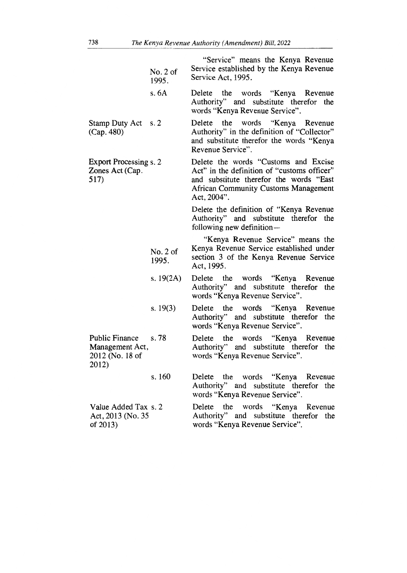|                                                                      | No. 2 of<br>1995. | "Service" means the Kenya Revenue<br>Service established by the Kenya Revenue<br>Service Act, 1995.                                                                                          |
|----------------------------------------------------------------------|-------------------|----------------------------------------------------------------------------------------------------------------------------------------------------------------------------------------------|
|                                                                      | s.6A              | Delete the words "Kenya Revenue<br>Authority" and substitute therefor the<br>words "Kenya Revenue Service".                                                                                  |
| <b>Stamp Duty Act</b><br>(Cap. 480)                                  | s. 2              | the words "Kenya Revenue<br>Delete<br>Authority" in the definition of "Collector"<br>and substitute therefor the words "Kenya<br>Revenue Service".                                           |
| <b>Export Processing s. 2</b><br>Zones Act (Cap.<br>517)             |                   | Delete the words "Customs and Excise<br>Act" in the definition of "customs officer"<br>and substitute therefor the words "East<br><b>African Community Customs Management</b><br>Act, 2004". |
|                                                                      |                   | Delete the definition of "Kenya Revenue<br>Authority" and substitute therefor the<br>following new definition-                                                                               |
|                                                                      | No. 2 of<br>1995. | "Kenya Revenue Service" means the<br>Kenya Revenue Service established under<br>section 3 of the Kenya Revenue Service<br>Act, 1995.                                                         |
|                                                                      | s. $19(2A)$       | Delete the words "Kenya Revenue<br>Authority" and substitute therefor the<br>words "Kenya Revenue Service".                                                                                  |
|                                                                      | s. $19(3)$        | Delete the words "Kenya Revenue<br>Authority" and substitute therefor the<br>words "Kenya Revenue Service".                                                                                  |
| <b>Public Finance</b><br>Management Act,<br>2012 (No. 18 of<br>2012) | s.78              | Delete the words "Kenya Revenue<br>Authority" and substitute therefor the<br>words "Kenya Revenue Service".                                                                                  |
|                                                                      | s. 160            | the words "Kenya Revenue<br>Delete<br>Authority" and substitute therefor the<br>words "Kenya Revenue Service".                                                                               |
| Value Added Tax s. 2<br>Act, 2013 (No. 35)<br>of $2013$ )            |                   | Delete the words "Kenya Revenue<br>Authority" and substitute therefor the<br>words "Kenya Revenue Service".                                                                                  |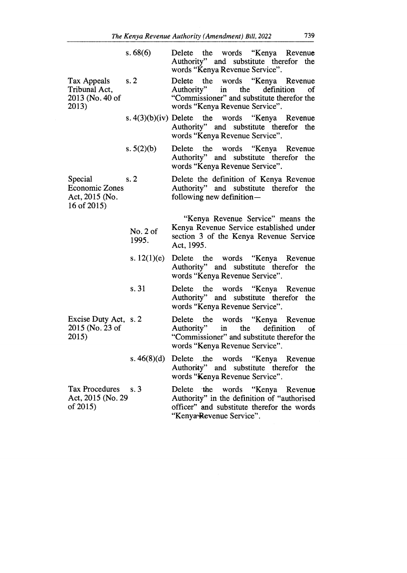|                                                                      | s.68(6)           | Delete the words "Kenya Revenue"<br>Authority" and substitute therefor the<br>words "Kenya Revenue Service".                                          |
|----------------------------------------------------------------------|-------------------|-------------------------------------------------------------------------------------------------------------------------------------------------------|
| Tax Appeals<br>Tribunal Act,<br>2013 (No. 40 of<br>2013)             | s.2               | Delete the words "Kenya Revenue<br>Authority" in the definition<br>of<br>"Commissioner" and substitute therefor the<br>words "Kenya Revenue Service". |
|                                                                      |                   | s. $4(3)(b)(iv)$ Delete the words "Kenya Revenue<br>Authority" and substitute therefor the<br>words "Kenya Revenue Service".                          |
|                                                                      | s. $5(2)(b)$      | Delete the words "Kenya Revenue<br>Authority" and substitute therefor the<br>words "Kenya Revenue Service".                                           |
| Special<br><b>Economic Zones</b><br>Act, 2015 (No.<br>16 of $2015$ ) | s.2               | Delete the definition of Kenya Revenue<br>Authority" and substitute therefor the<br>following new definition-                                         |
|                                                                      | No. 2 of<br>1995. | "Kenya Revenue Service" means the<br>Kenya Revenue Service established under<br>section 3 of the Kenya Revenue Service<br>Act, 1995.                  |
|                                                                      | s. $12(1)(e)$     | Delete the words "Kenya Revenue<br>Authority" and substitute therefor the<br>words "Kenya Revenue Service".                                           |
|                                                                      | s. 31             | Delete the words "Kenya Revenue<br>Authority" and substitute therefor the<br>words "Kenya Revenue Service".                                           |
| Excise Duty Act, s. 2<br>2015 (No. 23 of<br>2015)                    |                   | Delete the words "Kenya Revenue<br>Authority" in the definition<br>of<br>"Commissioner" and substitute therefor the<br>words "Kenya Revenue Service". |
|                                                                      |                   | s. 46(8)(d) Delete the words "Kenya Revenue<br>Authority" and substitute therefor<br>the<br>words "Kenya Revenue Service".                            |
| <b>Tax Procedures</b><br>Act, 2015 (No. 29                           | s. 3              | Delete the words "Kenya Revenue<br>Authority" in the definition of "authorised                                                                        |

of 2015)

Authority" in the definition of "authorised officer" and substitute therefor the words "Kenya'Revenue Service".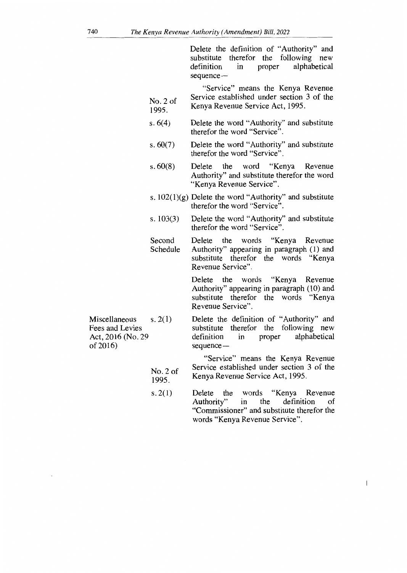Delete the definition of "Authority" and substitute therefor the following new<br>definition in proper alphabetical proper alphabetical sequence —

- "Service" means the Kenya Revenue Service established under section 3 of the Kenya Revenue Service Act, 1995. No. 2 of 1995.
- Delete the word "Authority" and substitute therefor the word "Service". s. 6(4)
- Delete the word "Authority" and substitute therefor the word "Service". s. 60(7)
- Delete the word "Kenya Revenue Authority" and substitute therefor the word "Kenya Revenue Service". s. 60(8)
- s.  $102(1)(g)$  Delete the word "Authority" and substitute therefor the word "Service".
- Delete the word "Authority" and substitute therefor the word "Service". s. 103(3)
- Delete the words "Kenya Revenue Authority" appearing in paragraph (1) and substitute therefor the words "Kenya Revenue Service". Second Schedule

Delete the words "Kenya Revenue Authority" appearing in paragraph (10) and substitute therefor the words "Kenya Revenue Service".

Miscellaneous  $s. 2(1)$ Fees and Levies Act, 2016 (No. 29 of 2016)

> No. 2 of 1995.

Delete the definition of "Authority" and substitute therefor the following new<br>definition in proper alphabetical alphabetical sequence—

"Service" means the Kenya Revenue Service established under section 3 of the Kenya Revenue Service Act, 1995.

 $\begin{array}{c} \hline \end{array}$ 

Delete the words "Kenya Revenue<br>Authority" in the definition of Authority" "Commissioner" and substitute therefor the words "Kenya Revenue Service". s. 2(1)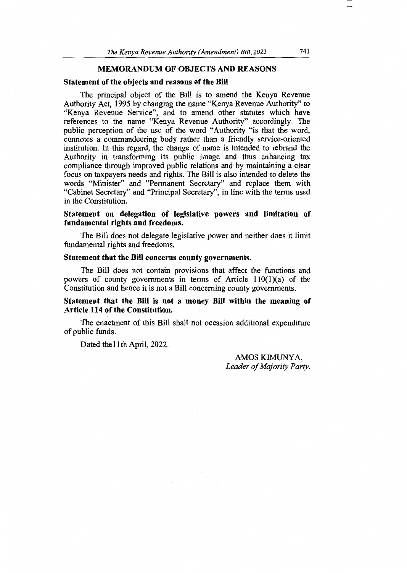## **MEMORANDUM OF OBJECTS AND REASONS**

#### **Statement of the objects and reasons of the Bill**

The principal object of the Bill is to amend the Kenya Revenue Authority Act, 1995 by changing the name "Kenya Revenue Authority" to "Kenya Revenue Service", and to amend other statutes which have references to the name "Kenya Revenue Authority" accordingly. The public perception of the use of the word "Authority "is that the word, connotes a commandeering body rather than a friendly service-oriented institution. In this regard, the change of name is intended to rebrand the Authority in transforming its public image and thus enhancing tax compliance through improved public relations and by maintaining a clear focus on taxpayers needs and rights. The Bill is also intended to delete the words "Minister" and "Permanent Secretary" and replace them with "Cabinet Secretary" and "Principal Secretary", in line with the terms used in the Constitution.

## **Statement on delegation of legislative powers and limitation of fundamental rights and freedoms.**

The Bill does not delegate legislative power and neither does it limit fundamental rights and freedoms.

## **Statement that the Bill concerns county governments.**

The Bill does not contain provisions that affect the functions and powers of county governments in terms of Article 110(1)(a) of the Constitution and hence it is not a Bill concerning county governments.

## **Statement that the Bill is not a money Bill within the meaning of Article 114 of the Constitution.**

The enactment of this Bill shall not occasion additional expenditure of public funds.

Dated the 11<sup>th</sup> April, 2022.

AMOS KIMUNYA, *Leader of Majority Party.*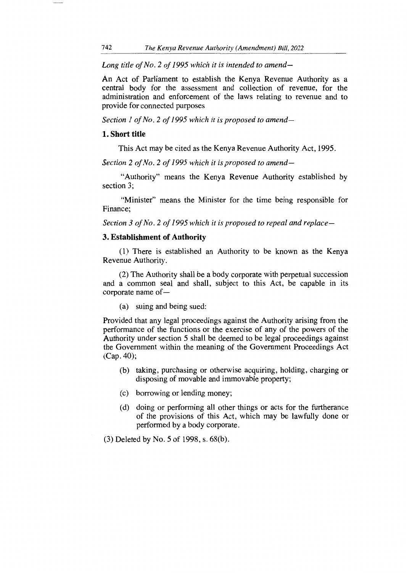*Long title of No. 2 of 1995 which it is intended to amend—* 

An Act of Parliament to establish the Kenya Revenue Authority as a central body for the assessment and collection of revenue, for the administration and enforcement of the laws relating to revenue and to provide for connected purposes

*Section 1 of No. 2 of 1995 which it is proposed to amend-*

## **1. Short title**

This Act may be cited as the Kenya Revenue Authority Act, 1995.

*Section 2 of No. 2 of 1995 which it is proposed to amend—* 

"Authority" means the Kenya Revenue Authority established by section 3;

"Minister" means the Minister for the time being responsible for Finance;

*Section 3 of No. 2 of 1995 which it is proposed to repeal and replace-*

## **3. Establishment of Authority**

(1) There is established an Authority to be known as the Kenya Revenue Authority.

(2) The Authority shall be a body corporate with perpetual succession and a common seal and shall, subject to this Act, be capable in its corporate name of —

(a) suing and being sued:

Provided that any legal proceedings against the Authority arising from the performance of the functions or the exercise of any of the powers of the Authority under section 5 shall be deemed to be legal proceedings against the Government within the meaning of the Government Proceedings Act (Cap. 40);

- (b) taking, purchasing or otherwise acquiring, holding, charging or disposing of movable and immovable property;
- (c) borrowing or lending money;
- (d) doing or performing all other things or acts for the furtherance of the provisions of this Act, which may be lawfully done or performed by a body corporate.
- (3) Deleted by No. 5 of 1998, s. 68(b).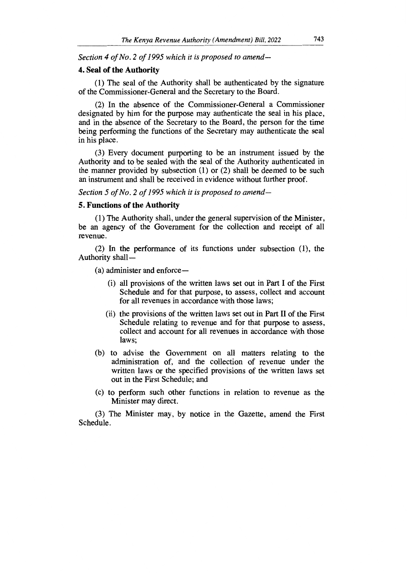*Section 4 of No. 2 of 1995 which it is proposed to amend-*

## **4. Seal of the Authority**

(1) The seal of the Authority shall be authenticated by the signature of the Commissioner-General and the Secretary to the Board.

(2) In the absence of the Commissioner-General a Commissioner designated by him for the purpose may authenticate the seal in his place, and in the absence of the Secretary to the Board, the person for the time being performing the functions of the Secretary may authenticate the seal in his place.

(3) Every document purporting to be an instrument issued by the Authority and to be sealed with the seal of the Authority authenticated in the manner provided by subsection (1) or (2) shall be deemed to be such an instrument and shall be received in evidence without further proof.

*Section 5 of No. 2 of 1995 which it is proposed to amend-*

## **5. Functions of the Authority**

(1) The Authority shall, under the general supervision of the Minister, be an agency of the Government for the collection and receipt of all revenue.

(2) In the performance of its functions under subsection (1), the Authority shall —

(a) administer and enforce—

- (i) all provisions of the written laws set out in Part I of the First Schedule and for that purpose, to assess, collect and account for all revenues in accordance with those laws;
- (ii) the provisions of the written laws set out in Part II of the First Schedule relating to revenue and for that purpose to assess, collect and account for all revenues in accordance with those laws;
- (b) to advise the Government on all matters relating to the administration of, and the collection of revenue under the written laws or the specified provisions of the written laws set out in the First Schedule; and
- (c) to perform such other functions in relation to revenue as the Minister may direct.

(3) The Minister may, by notice in the Gazette, amend the First Schedule.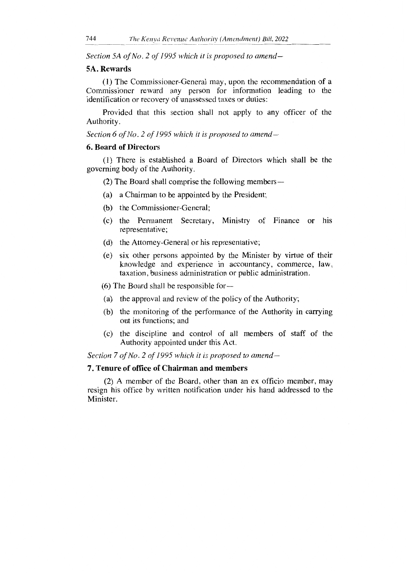*Section 5A of No. 2 of 1995 which it is proposed to amend-*

### 5A. Rewards

(1) The Commissioner-General may, upon the recommendation of a Commissioner reward any person for information leading to the identification or recovery of unassessed taxes or duties:

Provided that this section shall not apply to any officer of the Authority.

*Section 6 of No. 2 of 1995 which it is proposed to amend-*

### 6. Board of Directors

(1) There is established a Board of Directors which shall be the governing body of the Authority.

(2) The Board shall comprise the following members —

- (a) a Chairman to be appointed by the President;
- (b) the Commissioner-General;
- (c) the Permanent Secretary, Ministry of Finance or his representative;
- (d) the Attorney-General or his representative;
- (e) six other persons appointed by the Minister by virtue of their knowledge and experience in accountancy, commerce, law, taxation, business administration or public administration.

(6) The Board shall be responsible for  $-$ 

- (a) the approval and review of the policy of the Authority;
- (b) the monitoring of the performance of the Authority in carrying out its functions; and
- (c) the discipline and control of all members of staff of the Authority appointed under this Act.

*Section 7 of No. 2 of 1995 which it is proposed to amend-*

#### **7. Tenure of office of Chairman and members**

(2) A member of the Board, other than an ex officio member, may resign his office by written notification under his hand addressed to the Minister.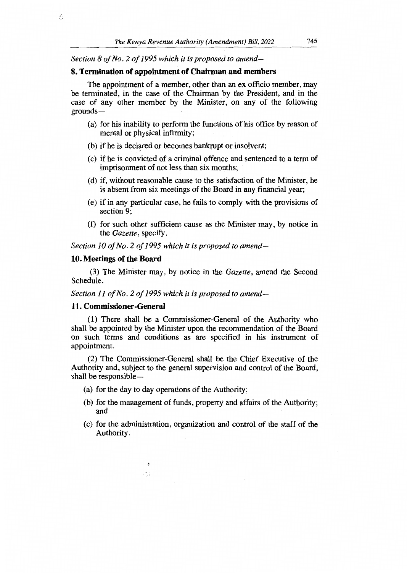*Section 8 of No. 2 of 1995 which it is proposed to amend-*

### **8. Termination of appointment of Chairman and members**

The appointment of a member, other than an ex officio member, may be terminated, in the case of the Chairman by the President, and in the case of any other member by the Minister, on any of the following grounds —

- (a) for his inability to perform the functions of his office by reason of mental or physical infirmity;
- (b) if he is declared or becomes bankrupt or insolvent;
- (c) if he is convicted of a criminal offence and sentenced to a term of imprisonment of not less than six months;
- (d) if, without reasonable cause to the satisfaction of the Minister, he is absent from six meetings of the Board in any financial year;
- (e) if in any particular case, he fails to comply with the provisions of section 9;
- (f) for such other sufficient cause as the Minister may, by notice in the *Gazette,* specify.

*Section 10 of No. 2 of 1995 which it is proposed to amend-*

### **10. Meetings of the Board**

5

(3) The Minister may, by notice in the *Gazette,* amend the Second Schedule.

*Section 11 of No. 2 of 1995 which it is proposed to amend-*

#### **11. Commissioner-General**

(1) There shall be a Commissioner-General of the Authority who shall be appointed by the Minister upon the recommendation of the Board on such terms and conditions as are specified in his instrument of appointment.

(2) The Commissioner-General shall be the Chief Executive of the Authority and, subject to the general supervision and control of the Board, shall be responsible —

(a) for the day to day operations of the Authority;

 $\sim$   $\alpha$ ,  $\sigma_{\rm{th}}$ 

- (b) for the management of funds, property and affairs of the Authority; and
- (c) for the administration, organization and control of the staff of the Authority.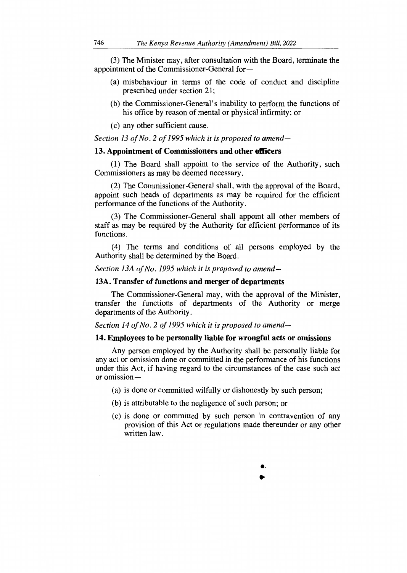(3) The Minister may, after consultation with the Board, terminate the appointment of the Commissioner-General for —

- (a) misbehaviour in terms of the code of conduct and discipline prescribed under section 21;
- (b) the Commissioner-General's inability to perform the functions of his office by reason of mental or physical infirmity; or
- (c) any other sufficient cause.

*Section 13 of No. 2 of 1995 which it is proposed to amend-*

## **13. Appointment of Commissioners and other officers**

(1) The Board shall appoint to the service of the Authority, such Commissioners as may be deemed necessary.

(2) The Commissioner-General shall, with the approval of the Board, appoint such heads of departments as may be required for the efficient performance of the functions of the Authority.

(3) The Commissioner-General shall appoint all other members of staff as may be required by the Authority for efficient performance of its functions.

(4) The terms and conditions of all persons employed by the Authority shall be determined by the Board.

*Section 13A of No. 1995 which it is proposed to amend-*

## **13A. Transfer of functions and merger of departments**

The Commissioner-General may, with the approval of the Minister, transfer the functions of departments of the Authority or merge departments of the Authority.

*Section 14 of No. 2 of 1995 which it is proposed to amend-*

#### **14. Employees to be personally liable for wrongful acts or omissions**

Any person employed by the Authority shall be personally liable for any act or omission done or committed in the performance of his functions under this Act, if having regard to the circumstances of the case such act or omission —

- (a) is done or committed wilfully or dishonestly by such person;
- (b) is attributable to the negligence of such person; or
- (c) is done or committed by such person in contravention of any provision of this Act or regulations made thereunder or any other written law.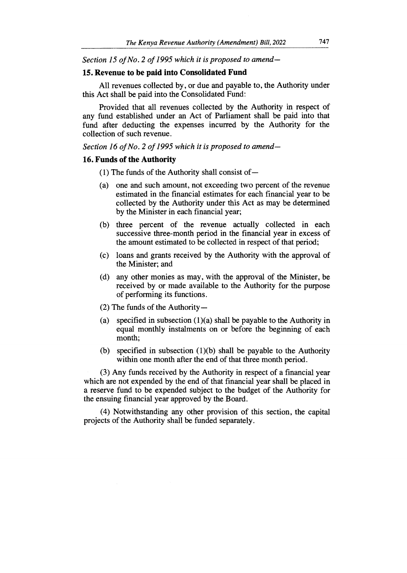*Section 15 of No. 2 of 1995 which it is proposed to amend-*

## **15. Revenue to be paid into Consolidated Fund**

All revenues collected by, or due and payable to, the Authority under this Act shall be paid into the Consolidated Fund:

Provided that all revenues collected by the Authority in respect of any fund established under an Act of Parliament shall be paid into that fund after deducting the expenses incurred by the Authority for the collection of such revenue.

*Section 16 of No. 2 of 1995 which it is proposed to amend-*

## **16. Funds of the Authority**

(1) The funds of the Authority shall consist of —

- (a) one and such amount, not exceeding two percent of the revenue estimated in the financial estimates for each financial year to be collected by the Authority under this Act as may be determined by the Minister in each financial year;
- (b) three percent of the revenue actually collected in each successive three-month period in the financial year in excess of the amount estimated to be collected in respect of that period;
- (c) loans and grants received by the Authority with the approval of the Minister; and
- (d) any other monies as may, with the approval of the Minister, be received by or made available to the Authority for the purpose of performing its functions.
- (2) The funds of the Authority —
- (a) specified in subsection  $(1)(a)$  shall be payable to the Authority in equal monthly instalments on or before the beginning of each month;
- (b) specified in subsection (1)(b) shall be payable to the Authority within one month after the end of that three month period.

(3) Any funds received by the Authority in respect of a financial year which are not expended by the end of that financial year shall be placed in a reserve fund to be expended subject to the budget of the Authority for the ensuing financial year approved by the Board.

(4) Notwithstanding any other provision of this section, the capital projects of the Authority shall be funded separately.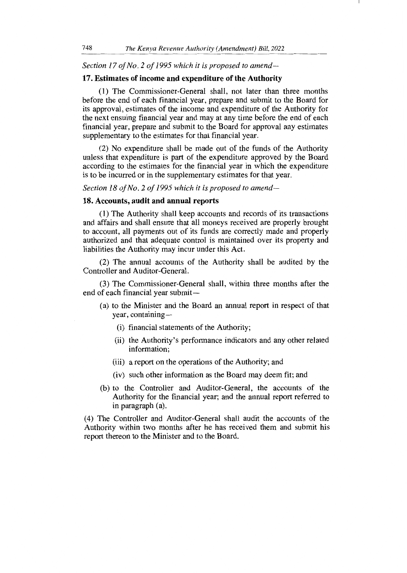## *Section 17 of No. 2 of 1995 which it is proposed to amend-*

#### **17. Estimates of income and expenditure of the Authority**

(1) The Commissioner-General shall, not later than three months before the end of each financial year, prepare and submit to the Board for its approval, estimates of the income and expenditure of the Authority for the next ensuing financial year and may at any time before the end of each financial year, prepare and submit to the Board for approval any estimates supplementary to the estimates for that financial year.

(2) No expenditure shall be made out of the funds of the Authority unless that expenditure is part of the expenditure approved by the Board according to the estimates for the financial year in which the expenditure is to be incurred or in the supplementary estimates for that year.

*Section 18 of No. 2 of 1995 which it is proposed to amend-*

#### **18. Accounts, audit and annual reports**

(1) The Authority shall keep accounts and records of its transactions and affairs and shall ensure that all moneys received are properly brought to account, all payments out of its funds are correctly made and properly authorized and that adequate control is maintained over its property and liabilities the Authority may incur under this Act.

(2) The annual accounts of the Authority shall be audited by the Controller and Auditor-General.

(3) The Commissioner-General shall, within three months after the end of each financial year submit —

- (a) to the Minister and the Board an annual report in respect of that year, containing —
	- (i) financial statements of the Authority;
	- (ii) the Authority's performance indicators and any other related information;
	- (iii) a report on the operations of the Authority; and
	- (iv) such other information as the Board may deem fit; and
- (b) to the Controller and Auditor-General, the accounts of the Authority for the financial year; and the annual report referred to in paragraph (a).

(4) The Controller and Auditor-General shall audit the accounts of the Authority within two months after he has received them and submit his report thereon to the Minister and to the Board.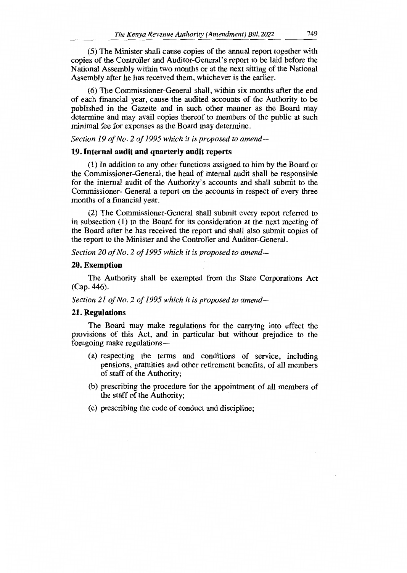(5) The Minister shall cause copies of the annual report together with copies of the Controller and Auditor-General's report to be laid before the National Assembly within two months or at the next sitting of the National Assembly after he has received them, whichever is the earlier.

(6) The Commissioner-General shall, within six months after the end of each financial year, cause the audited accounts of the Authority to be published in the Gazette and in such other manner as the Board may determine and may avail copies thereof to members of the public at such minimal fee for expenses as the Board may determine.

*Section 19 of No. 2 of 1995 which it is proposed to amend-*

#### **19. Internal audit and quarterly audit reports**

(1) In addition to any other functions assigned to him by the Board or the Commissioner-General, the head of internal audit shall be responsible for the internal audit of the Authority's accounts and shall submit to the Commissioner- General a report on the accounts in respect of every three months of a financial year.

(2) The Commissioner-General shall submit every report referred to in subsection (1) to the Board for its consideration at the next meeting of the Board after he has received the report and shall also submit copies of the report to the Minister and the Controller and Auditor-General.

*Section 20 of No. 2 of 1995 which it is proposed to amend-*

## **20. Exemption**

The Authority shall be exempted from the State Corporations Act (Cap. 446).

*Section 21 of No. 2 of 1995 which it is proposed to amend-*

#### **21. Regulations**

The Board may make regulations for the carrying into effect the provisions of this Act, and in particular but without prejudice to the foregoing make regulations —

- (a) respecting the terms and conditions of service, including pensions, gratuities and other retirement benefits, of all members of staff of the Authority;
- (b) prescribing the procedure for the appointment of all members of the staff of the Authority;
- (c) prescribing the code of conduct and discipline;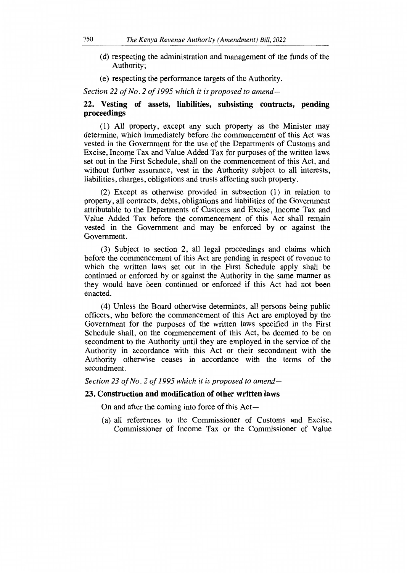- (d) respecting the administration and management of the funds of the Authority;
- (e) respecting the performance targets of the Authority.

*Section 22 of No. 2 of 1995 which it is proposed to amend-*

## **22. Vesting of assets, liabilities, subsisting contracts, pending proceedings**

(1) All property, except any such property as the Minister may determine, which immediately before the commencement of this Act was vested in the Government for the use of the Departments of Customs and Excise, Income Tax and Value Added Tax for purposes of the written laws set out in the First Schedule, shall on the commencement of this Act, and without further assurance, vest in the Authority subject to all interests, liabilities, charges, obligations and trusts affecting such property.

(2) Except as otherwise provided in subsection (1) in relation to property, all contracts, debts, obligations and liabilities of the Government attributable to the Departments of Customs and Excise, Income Tax and Value Added Tax before the commencement of this Act shall remain vested in the Government and may be enforced by or against the Government.

(3) Subject to section 2, all legal proceedings and claims which before the commencement of this Act are pending in respect of revenue to which the written laws set out in the First Schedule apply shall be continued or enforced by or against the Authority in the same manner as they would have been continued or enforced if this Act had not been enacted.

(4) Unless the Board otherwise determines, all persons being public officers, who before the commencement of this Act are employed by the Government for the purposes of the written laws specified in the First Schedule shall, on the commencement of this Act, be deemed to be on secondment to the Authority until they are employed in the service of the Authority in accordance with this Act or their secondment with the Authority otherwise ceases in accordance with the terms of the secondment.

*Section 23 of No. 2 of 1995 which it is proposed to amend-*

## **23. Construction and modification of other written laws**

On and after the coming into force of this Act —

(a) all references to the Commissioner of Customs and Excise, Commissioner of Income Tax or the Commissioner of Value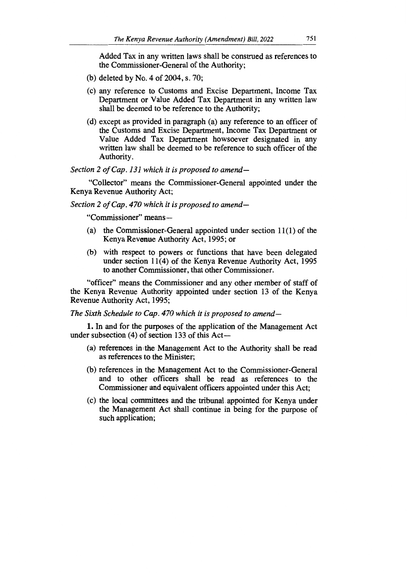Added Tax in any written laws shall be construed as references to the Commissioner-General of the Authority;

- (b) deleted by No. 4 of 2004, s. 70;
- (c) any reference to Customs and Excise Department, Income Tax Department or Value Added Tax Department in any written law shall be deemed to be reference to the Authority;
- (d) except as provided in paragraph (a) any reference to an officer of the Customs and Excise Department, Income Tax Department or Value Added Tax Department howsoever designated in any written law shall be deemed to be reference to such officer of the Authority.

*Section 2 of Cap. 131 which it is proposed to amend—* 

"Collector" means the Commissioner-General appointed under the Kenya Revenue Authority Act;

*Section 2 of Cap. 470 which it is proposed to amend—*

"Commissioner" means —

- (a) the Commissioner-General appointed under section 11(1) of the Kenya Revenue Authority Act, 1995; or
- (b) with respect to powers or functions that have been delegated under section 11(4) of the Kenya Revenue Authority Act, 1995 to another Commissioner, that other Commissioner.

"officer" means the Commissioner and any other member of staff of the Kenya Revenue Authority appointed under section 13 of the Kenya Revenue Authority Act, 1995;

*The Sixth Schedule to Cap. 470 which it is proposed to amend-*

1. In and for the purposes of the application of the Management Act under subsection (4) of section 133 of this Act —

- (a) references in the Management Act to the Authority shall be read as references to the Minister;
- (b) references in the Management Act to the Commissioner-General and to other officers shall be read as references to the Commissioner and equivalent officers appointed under this Act;
- (c) the local committees and the tribunal appointed for Kenya under the Management Act shall continue in being for the purpose of such application;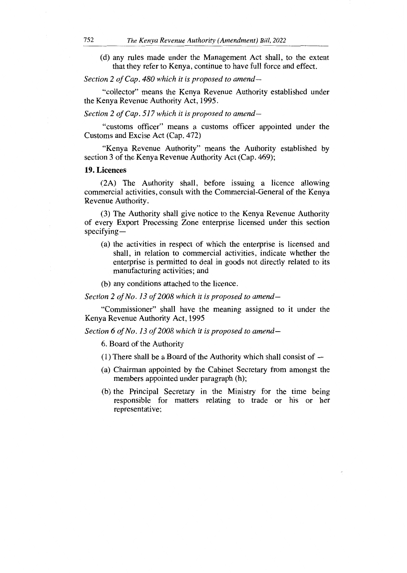(d) any rules made under the Management Act shall, to the extent that they refer to Kenya, continue to have full force and effect.

*Section 2 of Cap. 480 which it is proposed to amend—* 

"collector" means the Kenya Revenue Authority established under the Kenya Revenue Authority Act, 1995.

*Section 2 of Cap. 517 which it is proposed to amend—* 

"customs officer" means a customs officer appointed under the Customs and Excise Act (Cap. 472)

"Kenya Revenue Authority" means the Authority established by section 3 of the Kenya Revenue Authority Act (Cap. 469);

**19.** Licences

(2A) The Authority shall, before issuing a licence allowing commercial activities, consult with the Commercial-General of the Kenya Revenue Authority.

(3) The Authority shall give notice to the Kenya Revenue Authority of every Export Processing Zone enterprise licensed under this section specifying —

- (a) the activities in respect of which the enterprise is licensed and shall, in relation to commercial activities, indicate whether the enterprise is permitted to deal in goods not directly related to its manufacturing activities; and
- (b) any conditions attached to the licence.

*Section 2 of No. 13 of 2008 which it is proposed to amend—* 

"Commissioner" shall have the meaning assigned to it under the Kenya Revenue Authority Act, 1995

*Section 6 of No. 13 of 2008 which it is proposed to amend-*

6. Board of the Authority

- (1) There shall be a Board of the Authority which shall consist of —
- (a) Chairman appointed by the Cabinet Secretary from amongst the members appointed under paragraph (h);
- (b) the Principal Secretary in the Ministry for the time being responsible for matters relating to trade or his or her representative;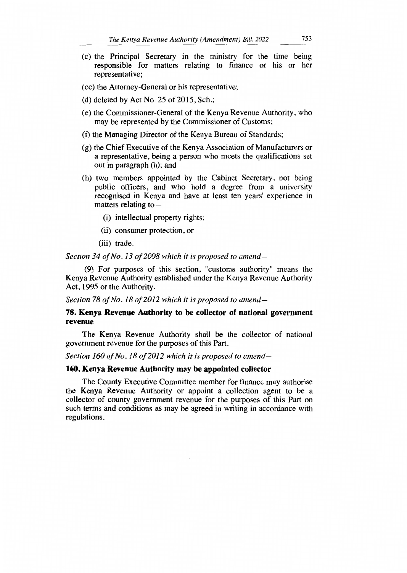- (c) the Principal Secretary in the ministry for the time being responsible for matters relating to finance or his or her representative;
- (cc) the Attorney-General or his representative;
- (d) deleted by Act No. 25 of 2015, Sch.;
- (e) the Commissioner-General of the Kenya Revenue Authority, who may be represented by the Commissioner of Customs;
- (f) the Managing Director of the Kenya Bureau of Standards;
- (g) the Chief Executive of the Kenya Association of Manufacturers or a representative, being a person who meets the qualifications set out in paragraph (h); and
- (h) two members appointed by the Cabinet Secretary, not being public officers, and who hold a degree from a university recognised in Kenya and have at least ten years' experience in matters relating to —
	- (i) intellectual property rights;
	- (ii) consumer protection, or
	- (iii) trade.

*Section 34 of No. 13 of 2008 which it is proposed to amend—* 

(9) For purposes of this section, "customs authority" means the Kenya Revenue Authority established under the Kenya Revenue Authority Act, 1995 or the Authority.

*Section 78 of No. 18 of 2012 which it is proposed to amend-*

## **78. Kenya Revenue Authority to be collector of national government revenue**

The Kenya Revenue Authority shall be the collector of national government revenue for the purposes of this Part.

*Section 160 of No. 18 of 2012 which it is proposed to amend-*

#### **160. Kenya Revenue Authority may be appointed collector**

The County Executive Committee member for finance may authorise the Kenya Revenue Authority or appoint a collection agent to be a collector of county government revenue for the purposes of this Part on such terms and conditions as may be agreed in writing in accordance with regulations.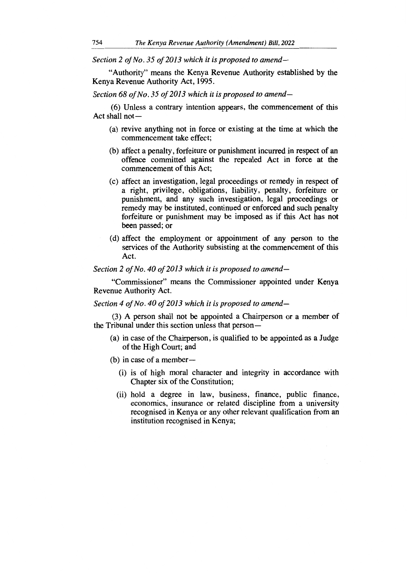*Section 2 of No. 35 of 2013 which it is proposed to amend—* 

"Authority" means the Kenya Revenue Authority established by the Kenya Revenue Authority Act, 1995.

*Section 68 of No. 35 of 2013 which it is proposed to amend—* 

(6) Unless a contrary intention appears, the commencement of this Act shall not—

- (a) revive anything not in force or existing at the time at which the commencement take effect;
- (b) affect a penalty, forfeiture or punishment incurred in respect of an offence committed against the repealed Act in force at the commencement of this Act;
- (c) affect an investigation, legal proceedings or remedy in respect of a right, privilege, obligations, liability, penalty, forfeiture or punishment, and any such investigation, legal proceedings or remedy may be instituted, continued or enforced and such penalty forfeiture or punishment may be imposed as if this Act has not been passed; or
- (d) affect the employment or appointment of any person to the services of the Authority subsisting at the commencement of this Act.

*Section 2 of No. 40 of 2013 which it is proposed to amend—* 

"Commissioner" means the Commissioner appointed under Kenya Revenue Authority Act.

*Section 4 of No. 40 of 2013 which it is proposed to amend—* 

(3) A person shall not be appointed a Chairperson or a member of the Tribunal under this section unless that person —

- (a) in case of the Chairperson, is qualified to be appointed as a Judge of the High Court; and
- (b) in case of a member
	- (i) is of high moral character and integrity in accordance with Chapter six of the Constitution;
	- (ii) hold a degree in law, business, finance, public finance, economics, insurance or related discipline from a university recognised in Kenya or any other relevant qualification from an institution recognised in Kenya;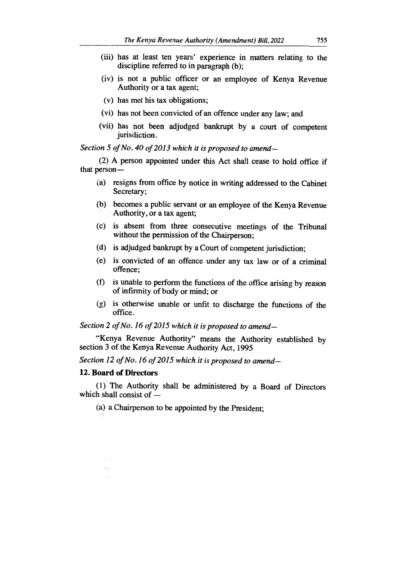- (iii) has at least ten years' experience in matters relating to the discipline referred to in paragraph (b);
- (iv) is not a public officer or an employee of Kenya Revenue Authority or a tax agent;
- (v) has met his tax obligations;
- (vi) has not been convicted of an offence under any law; and
- (vii) has not been adjudged bankrupt by a court of competent jurisdiction.

*Section 5 of No. 40 of 2013 which it is proposed to amend—* 

(2) A person appointed under this Act shall cease to hold office if that person—

- (a) resigns from office by notice in writing addressed to the Cabinet Secretary;
- (b) becomes a public servant or an employee of the Kenya Revenue Authority, or a tax agent;
- (c) is absent from three consecutive meetings of the Tribunal without the permission of the Chairperson;
- (d) is adjudged bankrupt by a Court of competent jurisdiction;
- (e) is convicted of an offence under any tax law or of a criminal offence;
- (f) is unable to perform the functions of the office arising by reason of infirmity of body or mind; or
- (g) is otherwise unable or unfit to discharge the functions of the office.

*Section 2 of No. 16 of 2015 which it is proposed to amend—* 

"Kenya Revenue Authority" means the Authority established by section 3 of the Kenya Revenue Authority Act, 1995

*Section 12 of No. 16 of 2015 which it is proposed to amend-*

## **12. Board of Directors**

A.

(1) The Authority shall be administered by a Board of Directors which shall consist of —

(a) a Chairperson to be appointed by the President;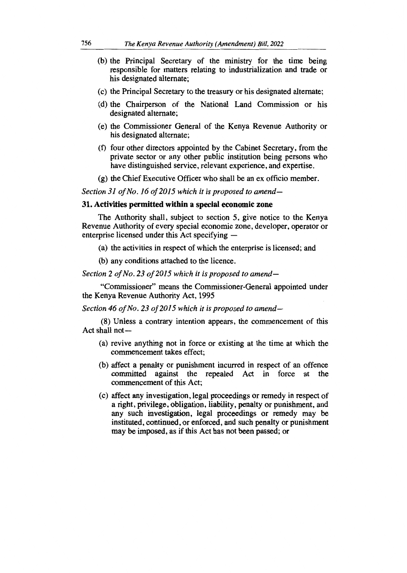- (b) the Principal Secretary of the ministry for the time being responsible for matters relating to industrialization and trade or his designated alternate;
- (c) the Principal Secretary to the treasury or his designated alternate;
- (d) the Chairperson of the National Land Commission or his designated alternate;
- (e) the Commissioner General of the Kenya Revenue Authority or his designated alternate;
- (f) four other directors appointed by the Cabinet Secretary, from the private sector or any other public institution being persons who have distinguished service, relevant experience, and expertise.
- (g) the Chief Executive Officer who shall be an ex officio member.

*Section 31 of No. 16 of 2015 which it is proposed to amend-*

#### **31. Activities permitted within a special economic zone**

The Authority shall, subject to section 5, give notice to the Kenya Revenue Authority of every special economic zone, developer, operator or enterprise licensed under this Act specifying —

(a) the activities in respect of which the enterprise is licensed; and

(b) any conditions attached to the licence.

*Section 2 of No. 23 of 2015 which it is proposed to amend—* 

"Commissioner" means the Commissioner-General appointed under the Kenya Revenue Authority Act, 1995

*Section 46 of No. 23 of 2015 which it is proposed to amend—* 

(8) Unless a contrary intention appears, the commencement of this Act shall not —

- (a) revive anything not in force or existing at the time at which the commencement takes effect;
- (b) affect a penalty or punishment incurred in respect of an offence committed against the repealed Act in force at the commencement of this Act;
- (c) affect any investigation, legal proceedings or remedy in respect of a right, privilege, obligation, liability, penalty or punishment, and any such investigation, legal proceedings or remedy may be instituted, continued, or enforced, and such penalty or punishment may be imposed, as if this Act has not been passed; or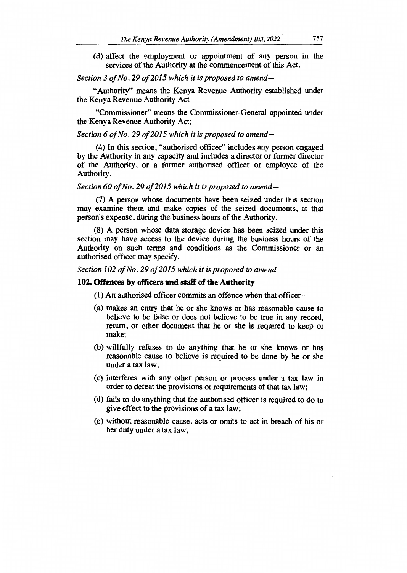(d) affect the employment or appointment of any person in the services of the Authority at the commencement of this Act.

## *Section 3 of No. 29 of 2015 which it is proposed to amend—*

"Authority" means the Kenya Revenue Authority established under the Kenya Revenue Authority Act

"Commissioner" means the Commissioner-General appointed under the Kenya Revenue Authority Act;

## *Section 6 of No. 29 of 2015 which it is proposed to amend—*

(4) In this section, "authorised officer" includes any person engaged by the Authority in any capacity and includes a director or former director of the Authority, or a former authorised officer or employee of the Authority.

#### *Section 60 of No. 29 of 2015 which it is proposed to amend—*

(7) A person whose documents have been seized under this section may examine them and make copies of the seized documents, at that person's expense, during the business hours of the Authority.

(8) A person whose data storage device has been seized under this section may have access to the device during the business hours of the Authority on such terms and conditions as the Commissioner or an authorised officer may specify.

*Section 102 of No. 29 of 2015 which it is proposed to amend-*

#### **102. Offences by officers and staff of the Authority**

(1) An authorised officer commits an offence when that officer—

- (a) makes an entry that he or she knows or has reasonable cause to believe to be false or does not believe to be true in any record, return, or other document that he or she is required to keep or make;
- (b) willfully refuses to do anything that he or she knows or has reasonable cause to believe is required to be done by he or she under a tax law;
- (c) interferes with any other person or process under a tax law in order to defeat the provisions or requirements of that tax law;
- (d) fails to do anything that the authorised officer is required to do to give effect to the provisions of a tax law;
- (e) without reasonable cause, acts or omits to act in breach of his or her duty under a tax law;